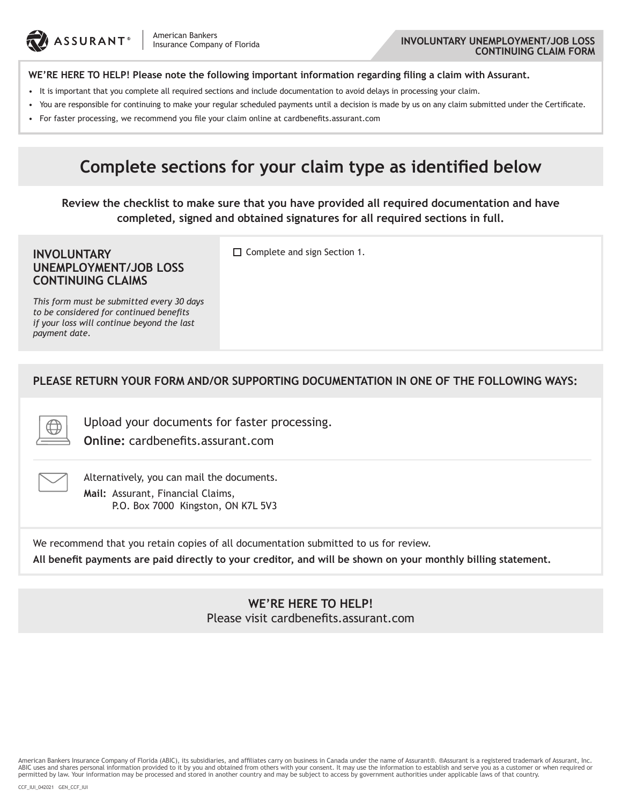

#### **INVOLUNTARY UNEMPLOYMENT/JOB LOSS CONTINUING CLAIM FORM**

#### **WE'RE HERE TO HELP! Please note the following important information regarding filing a claim with Assurant.**

- It is important that you complete all required sections and include documentation to avoid delays in processing your claim.
- • You are responsible for continuing to make your regular scheduled payments until a decision is made by us on any claim submitted under the Certificate.
- • For faster processing, we recommend you file your claim online at cardbenefits.assurant.com

# **Complete sections for your claim type as identified below**

**Review the checklist to make sure that you have provided all required documentation and have completed, signed and obtained signatures for all required sections in full.**

#### **INVOLUNTARY UNEMPLOYMENT/JOB LOSS CONTINUING CLAIMS**

 $\Box$  Complete and sign Section 1.

*This form must be submitted every 30 days to be considered for continued benefits if your loss will continue beyond the last payment date.*

#### **PLEASE RETURN YOUR FORM AND/OR SUPPORTING DOCUMENTATION IN ONE OF THE FOLLOWING WAYS:**

Upload your documents for faster processing.

**Online:** cardbenefits.assurant.com



Alternatively, you can mail the documents. **Mail:** Assurant, Financial Claims, P.O. Box 7000 Kingston, ON K7L 5V3

We recommend that you retain copies of all documentation submitted to us for review.

**All benefit payments are paid directly to your creditor, and will be shown on your monthly billing statement.**

### **WE'RE HERE TO HELP!** Please visit cardbenefits.assurant.com

American Bankers Insurance Company of Florida (ABIC), its subsidiaries, and affiliates carry on business in Canada under the name of Assurant®. ®Assurant is a registered trademark of Assurant, Inc. ABIC uses and shares personal information provided to it by you and obtained from others with your consent. It may use the information to establish and serve you as a customer or when required or permitted by law. Your information may be processed and stored in another country and may be subject to access by government authorities under applicable laws of that country.